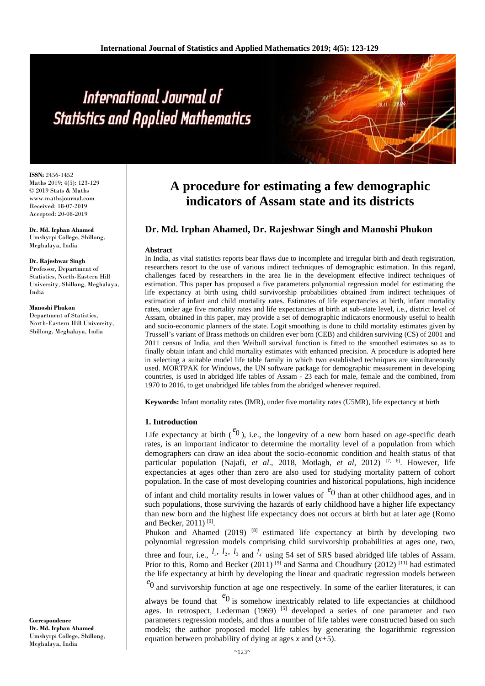# International Journal of **Statistics and Applied Mathematics**

**ISSN:** 2456-1452 Maths 2019; 4(5): 123-129 © 2019 Stats & Maths www.mathsjournal.com Received: 18-07-2019 Accepted: 20-08-2019

**Dr. Md. Irphan Ahamed** Umshyrpi College, Shillong, Meghalaya, India

#### **Dr. Rajeshwar Singh**

Professor, Department of Statistics, North-Eastern Hill University, Shillong, Meghalaya, India

#### **Manoshi Phukon**

**Correspondence Dr. Md. Irphan Ahamed** Umshyrpi College, Shillong, Meghalaya, India

Department of Statistics, North-Eastern Hill University, Shillong, Meghalaya, India

# **A procedure for estimating a few demographic indicators of Assam state and its districts**

# **Dr. Md. Irphan Ahamed, Dr. Rajeshwar Singh and Manoshi Phukon**

### **Abstract**

In India, as vital statistics reports bear flaws due to incomplete and irregular birth and death registration, researchers resort to the use of various indirect techniques of demographic estimation. In this regard, challenges faced by researchers in the area lie in the development effective indirect techniques of estimation. This paper has proposed a five parameters polynomial regression model for estimating the life expectancy at birth using child survivorship probabilities obtained from indirect techniques of estimation of infant and child mortality rates. Estimates of life expectancies at birth, infant mortality rates, under age five mortality rates and life expectancies at birth at sub-state level, i.e., district level of Assam, obtained in this paper, may provide a set of demographic indicators enormously useful to health and socio-economic planners of the state. Logit smoothing is done to child mortality estimates given by Trussell's variant of Brass methods on children ever born (CEB) and children surviving (CS) of 2001 and 2011 census of India, and then Weibull survival function is fitted to the smoothed estimates so as to finally obtain infant and child mortality estimates with enhanced precision. A procedure is adopted here in selecting a suitable model life table family in which two established techniques are simultaneously used. MORTPAK for Windows, the UN software package for demographic measurement in developing countries, is used in abridged life tables of Assam - 23 each for male, female and the combined, from 1970 to 2016, to get unabridged life tables from the abridged wherever required.

**Keywords:** Infant mortality rates (IMR), under five mortality rates (U5MR), life expectancy at birth

# **1. Introduction**

Life expectancy at birth  $\binom{e}{0}$ , i.e., the longevity of a new born based on age-specific death rates, is an important indicator to determine the mortality level of a population from which demographers can draw an idea about the socio-economic condition and health status of that particular population (Najafi, *et al*., 2018, Motlagh, *et al*, 2012) [7, 6] . However, life expectancies at ages other than zero are also used for studying mortality pattern of cohort population. In the case of most developing countries and historical populations, high incidence

of infant and child mortality results in lower values of <sup>e</sup><sup>0</sup> than at other childhood ages, and in such populations, those surviving the hazards of early childhood have a higher life expectancy than new born and the highest life expectancy does not occurs at birth but at later age (Romo and Becker, 2011)<sup>[9]</sup>.

Phukon and Ahamed (2019)  $[8]$  estimated life expectancy at birth by developing two polynomial regression models comprising child survivorship probabilities at ages one, two,

three and four, i.e.,  $l_1$ ,  $l_2$ ,  $l_3$  and  $l_4$  using 54 set of SRS based abridged life tables of Assam. Prior to this, Romo and Becker (2011) <sup>[9]</sup> and Sarma and Choudhury (2012) <sup>[11]</sup> had estimated the life expectancy at birth by developing the linear and quadratic regression models between

 $e_0$  and survivorship function at age one respectively. In some of the earlier literatures, it can

always be found that  $\epsilon^{0}$  is somehow inextricably related to life expectancies at childhood ages. In retrospect, Lederman  $(1969)$  <sup>[5]</sup> developed a series of one parameter and two parameters regression models, and thus a number of life tables were constructed based on such models; the author proposed model life tables by generating the logarithmic regression equation between probability of dying at ages *x* and (*x+*5).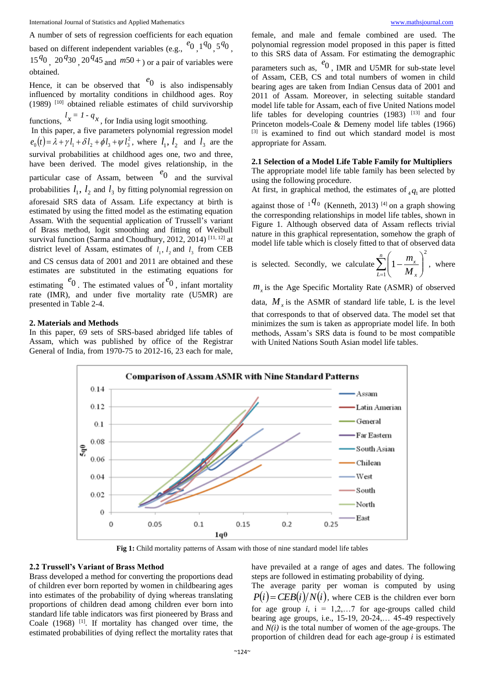A number of sets of regression coefficients for each equation based on different independent variables (e.g.,  $e^{i\theta}$ ,  $1^{q}0$ ,  $5^{q}0$ ,  $15^{40}$ ,  $20^{4}$ 30,  $20^{4}$ 45 and  $m$ 50 +  $\sigma$  or a pair of variables were obtained.

Hence, it can be observed that  $\epsilon_0$  is also indispensably influenced by mortality conditions in childhood ages. Roy (1989) [10] obtained reliable estimates of child survivorship

functions,  $l_x = 1 - q_x$ , for India using logit smoothing.

In this paper, a five parameters polynomial regression model  $e_0(t) = \lambda + \gamma l_1 + \delta l_2 + \phi l_3 + \psi l_3^2$ , where  $l_1, l_2$  and  $l_3$  are the survival probabilities at childhood ages one, two and three, have been derived. The model gives relationship, in the particular case of Assam, between  $e^{i\theta}$  and the survival probabilities  $l_1$ ,  $l_2$  and  $l_3$  by fitting polynomial regression on aforesaid SRS data of Assam. Life expectancy at birth is estimated by using the fitted model as the estimating equation Assam. With the sequential application of Trussell's variant of Brass method, logit smoothing and fitting of Weibull survival function (Sarma and Choudhury, 2012, 2014)  $[11, 12]$  at district level of Assam, estimates of  $l_1$ ,  $l_2$  and  $l_3$  from CEB and CS census data of 2001 and 2011 are obtained and these estimates are substituted in the estimating equations for estimating  $e^{i\theta}$ . The estimated values of  $e^{i\theta}$ , infant mortality

rate (IMR), and under five mortality rate (U5MR) are presented in Table 2-4.

### **2. Materials and Methods**

In this paper, 69 sets of SRS-based abridged life tables of Assam, which was published by office of the Registrar General of India, from 1970-75 to 2012-16, 23 each for male, female, and male and female combined are used. The polynomial regression model proposed in this paper is fitted to this SRS data of Assam. For estimating the demographic parameters such as, <sup>e</sup><sup>0</sup>, IMR and U5MR for sub-state level of Assam, CEB, CS and total numbers of women in child bearing ages are taken from Indian Census data of 2001 and 2011 of Assam. Moreover, in selecting suitable standard model life table for Assam, each of five United Nations model life tables for developing countries (1983) [13] and four Princeton models-Coale & Demeny model life tables (1966) [3] is examined to find out which standard model is most appropriate for Assam.

# **2.1 Selection of a Model Life Table Family for Multipliers**

The appropriate model life table family has been selected by using the following procedure.

At first, in graphical method, the estimates of  $_4q_1$  are plotted

against those of  $1^{q_0}$  (Kenneth, 2013) <sup>[4]</sup> on a graph showing the corresponding relationships in model life tables, shown in Figure 1. Although observed data of Assam reflects trivial nature in this graphical representation, somehow the graph of model life table which is closely fitted to that of observed data

is selected. Secondly, we calculate 
$$
\sum_{L=1}^{n} \left(1 - \frac{m_x}{M_x}\right)^2
$$
, where

 $m<sub>x</sub>$  is the Age Specific Mortality Rate (ASMR) of observed data,  $M_{\chi}$  is the ASMR of standard life table, L is the level that corresponds to that of observed data. The model set that minimizes the sum is taken as appropriate model life. In both methods, Assam's SRS data is found to be most compatible with United Nations South Asian model life tables.



**Fig 1:** Child mortality patterns of Assam with those of nine standard model life tables

## **2.2 Trussell's Variant of Brass Method**

Brass developed a method for converting the proportions dead of children ever born reported by women in childbearing ages into estimates of the probability of dying whereas translating proportions of children dead among children ever born into standard life table indicators was first pioneered by Brass and Coale (1968) [1]. If mortality has changed over time, the estimated probabilities of dying reflect the mortality rates that

have prevailed at a range of ages and dates. The following steps are followed in estimating probability of dying.

The average parity per woman is computed by using  $P(i) = CEB(i)/N(i)$ , where CEB is the children ever born for age group  $i$ ,  $i = 1,2,...7$  for age-groups called child bearing age groups, i.e., 15-19, 20-24,… 45-49 respectively and *N(i)* is the total number of women of the age-groups. The proportion of children dead for each age-group *i* is estimated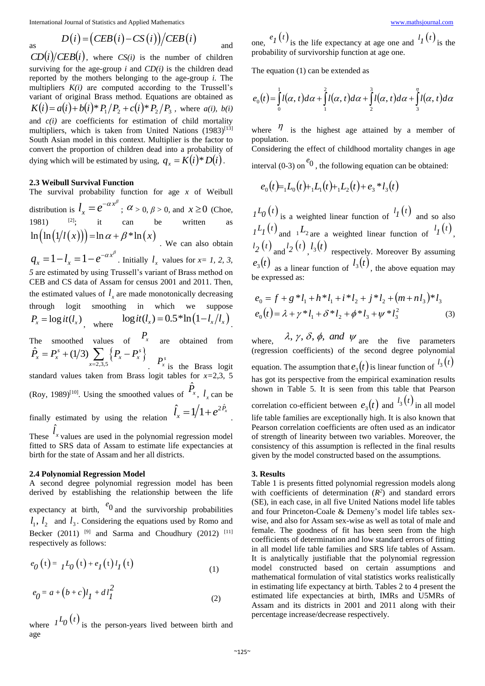International Journal of Statistics and Applied Mathematics <www.mathsjournal.com>

as 
$$
D(i) = (CEB(i) - CS(i))/CEB(i)
$$
 and

 $CD(i)/CEB(i)$ , where  $CS(i)$  is the number of children surviving for the age-group  $i$  and  $CD(i)$  is the children dead reported by the mothers belonging to the age-group *i.* The multipliers *K(i)* are computed according to the Trussell's variant of original Brass method. Equations are obtained as  $K(i) = a(i) + b(i)*P_1/P_2 + c(i)*P_2/P_3$ , where *a(i)*, *b(i)* and *c(i)* are coefficients for estimation of child mortality multipliers, which is taken from United Nations (1983)<sup>[13]</sup> South Asian model in this context. Multiplier is the factor to convert the proportion of children dead into a probability of dying which will be estimated by using,  $q_x = K(i) * D(i)$ .

# **2.3 Weibull Survival Function**

The survival probability function for age *x* of Weibull distribution is  $l_x = e^{-\alpha x^{\beta}}$  $l_x = e^{-\alpha x}$ ;  $\alpha > 0, \beta > 0$ , and  $x \ge 0$  (Choe, 1981)  $[2]$ ; it can be written as  $\ln \bigl( \ln \bigl( 1/l(x) \bigr) \bigr)$  =  $\ln \alpha + \beta * \ln(x)$  . We can also obtain

 $\alpha x^{\beta}$  $q_x = 1 - l_x = 1 - e^{-\alpha x}$ . Initially  $l_x$  values for  $x = 1, 2, 3$ , *5* are estimated by using Trussell's variant of Brass method on CEB and CS data of Assam for census 2001 and 2011. Then, the estimated values of  $l<sub>x</sub>$  are made monotonically decreasing through logit smoothing in which we suppose  $P_x = \log it(l_x)$ , where  $\log it(l_x) = 0.5 * \ln(1 - l_x/l_x)$ . The smoothed values of  $P_x$  are obtained from

 $\sum_{2,3,5} \left\{ P_{x} - P_{x}^{s} \right\}$  $\hat{P}_x = P_x^s + (1/3) \sum_{x} \{P_x - P_x^s\}$ *x*  $P = P^s + (1/3)$   $\rightarrow$   $\{P - P\}$  $= P_x^s + (1/3) \sum_{x=2,3,5} \left\{ P_x P_x^s$  is the Brass logit standard values taken from Brass logit tables for *x=*2,3, 5 (Roy, 1989)<sup>[10]</sup>. Using the smoothed values of  $\hat{P}_x$ ,  $l_x$  can be finally estimated by using the relation  $\hat{l}_x = 1/1 + e^{2\hat{P}_x}$ .

These  $l_{x}$  values are used in the polynomial regression model fitted to SRS data of Assam to estimate life expectancies at birth for the state of Assam and her all districts.

#### **2.4 Polynomial Regression Model**

ˆ

A second degree polynomial regression model has been derived by establishing the relationship between the life

expectancy at birth,  $e^{i\theta}$  and the survivorship probabilities  $l_1$ ,  $l_2$  and  $l_3$ . Considering the equations used by Romo and Becker (2011) <sup>[9]</sup> and Sarma and Choudhury (2012) <sup>[11]</sup> respectively as follows:

$$
e_0(t) = I L_0(t) + e_I(t) I_I(t)
$$
\n(1)

$$
e_0 = a + (b + c)l_1 + d l_1^2
$$
 (2)

where  $I^{L}(\theta(t))$  is the person-years lived between birth and age

one,  $e_I(t)$  is the life expectancy at age one and  $\frac{l_I(t)}{t}$  is the probability of survivorship function at age one.

The equation (1) can be extended as

$$
e_0(t) = \int_0^1 l(\alpha, t) d\alpha + \int_1^2 l(\alpha, t) d\alpha + \int_2^3 l(\alpha, t) d\alpha + \int_3^{\eta} l(\alpha, t) d\alpha
$$

where  $\eta$  is the highest age attained by a member of population. Considering the effect of childhood mortality changes in age interval  $(0-3)$  on  $e^{i\theta}$ , the following equation can be obtained:

$$
e_0(t) = L_0(t) + L_1(t) + L_2(t) + e_3 * L_3(t)
$$

 $I^L_0(t)$  is a weighted linear function of  $I_I(t)$  and so also  $I^L I(t)$  and  $I^L$  are a weighted linear function of  $I_I(t)$ ,  $l_2(t)$  and  $l_2(t)$ ,  $l_3(t)$  respectively. Moreover By assuming  $e_3(t)$  as a linear function of  $l_3(t)$ , the above equation may be expressed as:

$$
e_0 = f + g * l_1 + h * l_1 + i * l_2 + j * l_2 + (m + n l_3) * l_3
$$
  
\n
$$
e_0(t) = \lambda + \gamma * l_1 + \delta * l_2 + \phi * l_3 + \psi * l_3^2
$$
 (3)

where,  $\lambda$ ,  $\gamma$ ,  $\delta$ ,  $\phi$ , and  $\psi$  are the five parameters (regression coefficients) of the second degree polynomial equation. The assumption that  $e_3(t)$  is linear function of  $l_3(t)$ has got its perspective from the empirical examination results shown in Table 5. It is seen from this table that Pearson correlation co-efficient between  $e_3(t)$  and  $^{l_3(t)}$  in all model life table families are exceptionally high. It is also known that Pearson correlation coefficients are often used as an indicator of strength of linearity between two variables. Moreover, the consistency of this assumption is reflected in the final results given by the model constructed based on the assumptions.

#### **3. Results**

Table 1 is presents fitted polynomial regression models along with coefficients of determination  $(R^2)$  and standard errors (SE), in each case, in all five United Nations model life tables and four Princeton-Coale & Demeny's model life tables sexwise, and also for Assam sex-wise as well as total of male and female. The goodness of fit has been seen from the high coefficients of determination and low standard errors of fitting in all model life table families and SRS life tables of Assam. It is analytically justifiable that the polynomial regression model constructed based on certain assumptions and mathematical formulation of vital statistics works realistically in estimating life expectancy at birth. Tables 2 to 4 present the estimated life expectancies at birth, IMRs and U5MRs of Assam and its districts in 2001 and 2011 along with their percentage increase/decrease respectively.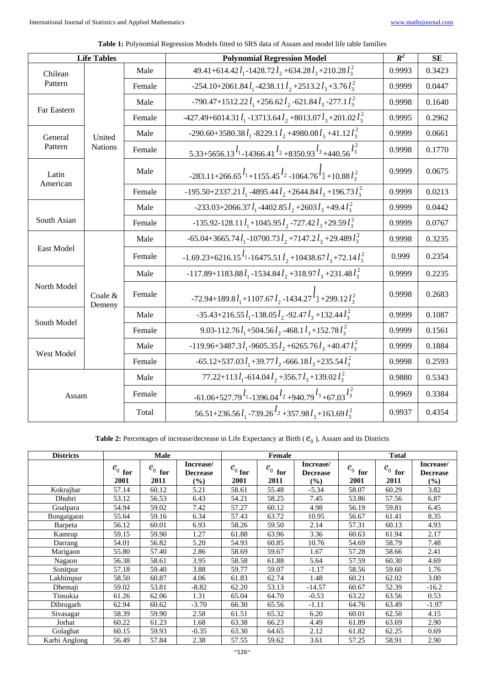| <b>Life Tables</b> |                     |        | <b>Polynomial Regression Model</b>                                                                                                                        | $\mathbb{R}^2$ | <b>SE</b> |
|--------------------|---------------------|--------|-----------------------------------------------------------------------------------------------------------------------------------------------------------|----------------|-----------|
| Chilean            |                     | Male   | 49.41+614.42 $l_1$ -1428.72 $l_2$ +634.28 $l_3$ +210.28 $l_3^2$                                                                                           | 0.9993         | 0.3423    |
| Pattern            |                     | Female | -254.10+2061.84 $l_1$ -4238.11 $l_2$ +2513.2 $l_3$ +3.76 $l_3$ <sup>2</sup>                                                                               | 0.9999         | 0.0447    |
| Far Eastern        |                     | Male   | -790.47+1512.22 $l_1$ +256.62 $l_2$ -621.84 $l_3$ -277.1 $l_3$                                                                                            | 0.9998         | 0.1640    |
|                    |                     | Female | -427.49+6014.31 $l_1$ -13713.64 $l_2$ +8013.07 $l_3$ +201.02 $l_3$                                                                                        | 0.9995         | 0.2962    |
| General            | United              | Male   | -290.60+3580.38 $l_1$ -8229.1 $l_2$ +4980.08 $l_3$ +41.12 $l_3^2$                                                                                         | 0.9999         | 0.0661    |
| Pattern            | <b>Nations</b>      | Female | 5.33+5656.13 <sup><math>l_1</math></sup> -14366.41 <sup><math>l_2</math></sup> +8350.93 <sup><math>l_3</math></sup> +440.56 <sup><math>l_3^2</math></sup> | 0.9998         | 0.1770    |
| Latin<br>American  |                     | Male   | $-283.11+266.65$ <sup><math>l_1</math></sup> +1155.45 <sup><math>l_2</math></sup> -1064.76 <sup><math>l_3</math></sup> +10.88 $l_3$ <sup>2</sup>          | 0.9999         | 0.0675    |
|                    |                     | Female | -195.50+2337.21 $l_1$ -4895.44 $l_2$ +2644.84 $l_3$ +196.73 $l_3^2$                                                                                       | 0.9999         | 0.0213    |
|                    |                     | Male   | $-233.03+2066.37l_1 -4402.85l_2 +2603l_3 +49.4l_3^2$                                                                                                      | 0.9999         | 0.0442    |
| South Asian        |                     | Female | $-135.92 - 128.11 l_1 + 1045.95 l_2 - 727.42 l_3 + 29.59 l_3^2$                                                                                           | 0.9999         | 0.0767    |
|                    |                     | Male   | $-65.04+3665.74 l_1 -10700.73 l_2 +7147.2 l_3 +29.489 l_3^2$                                                                                              | 0.9998         | 0.3235    |
| East Model         |                     | Female | $-1.69.23 + 6216.15^{l_1} - 16475.51^{l_2} + 10438.67^{l_3} + 72.14^{l_3}$                                                                                | 0.999          | 0.2354    |
|                    |                     | Male   | $-117.89+1183.88 l_1 -1534.84 l_2 +318.97 l_3 +231.48 l_3^2$                                                                                              | 0.9999         | 0.2235    |
| North Model        | Coale $&$<br>Demeny | Female | -72.94+189.8 $l_1$ +1107.67 $l_2$ -1434.27 $l_3$ +299.12 $l_3$ <sup>2</sup>                                                                               | 0.9998         | 0.2683    |
| South Model        |                     | Male   | $-35.43 + 216.55 l_1 - 138.05 l_2 - 92.47 l_3 + 132.44 l_3^2$                                                                                             | 0.9999         | 0.1087    |
|                    |                     | Female | 9.03-112.76 $l_1$ +504.56 $l_2$ -468.1 $l_3$ +152.78 $l_3$                                                                                                | 0.9999         | 0.1561    |
| West Model         |                     | Male   | $-119.96 + 3487.3 l_1 - 9605.35 l_2 + 6265.76 l_3 + 40.47 l_3^2$                                                                                          | 0.9999         | 0.1884    |
|                    |                     | Female | $-65.12+537.03 l_1+39.77 l_2-666.18 l_3+235.54 l_3^2$                                                                                                     | 0.9998         | 0.2593    |
|                    |                     |        | 77.22+113 $l_1$ -614.04 $l_2$ +356.7 $l_3$ +139.02 $l_3^2$                                                                                                | 0.9880         | 0.5343    |
| Assam              |                     | Female | $-61.06 + 527.79^{l_1} - 1396.04^{l_2} + 940.79^{l_3} + 67.03^{l_3}$                                                                                      |                | 0.3384    |
|                    |                     | Total  | 56.51+236.56 $l_1$ -739.26 <sup><math>l_2</math></sup> +357.98 $l_3$ +163.69 $l_3^2$                                                                      | 0.9937         | 0.4354    |

**Table 1:** Polynomial Regression Models fitted to SRS data of Assam and model life table families

**Table 2:** Percentages of increase/decrease in Life Expectancy at Birth ( $e_0$ ), Assam and its Districts

| <b>Districts</b> |             | <b>Male</b> |                              |             | Female      |                              | <b>Total</b> |             |                              |  |
|------------------|-------------|-------------|------------------------------|-------------|-------------|------------------------------|--------------|-------------|------------------------------|--|
|                  | $e_{0}$ for | $e_0$ for   | Increase/<br><b>Decrease</b> | $e_{0}$ for | $e_{0}$ for | Increase/<br><b>Decrease</b> | $e_{0}$ for  | $e_{0}$ for | Increase/<br><b>Decrease</b> |  |
|                  | 2001        | 2011        | $(\%)$                       | 2001        | 2011        | $(\%)$                       | 2001         | 2011        | $(\%)$                       |  |
| Kokrajhar        | 57.14       | 60.12       | 5.21                         | 58.61       | 55.48       | $-5.34$                      | 58.07        | 60.29       | 3.82                         |  |
| Dhubri           | 53.12       | 56.53       | 6.43                         | 54.21       | 58.25       | 7.45                         | 53.86        | 57.56       | 6.87                         |  |
| Goalpara         | 54.94       | 59.02       | 7.42                         | 57.27       | 60.12       | 4.98                         | 56.19        | 59.81       | 6.45                         |  |
| Bongaigaon       | 55.64       | 59.16       | 6.34                         | 57.43       | 63.72       | 10.95                        | 56.67        | 61.41       | 8.35                         |  |
| Barpeta          | 56.12       | 60.01       | 6.93                         | 58.26       | 59.50       | 2.14                         | 57.31        | 60.13       | 4.93                         |  |
| Kamrup           | 59.15       | 59.90       | 1.27                         | 61.88       | 63.96       | 3.36                         | 60.63        | 61.94       | 2.17                         |  |
| Darrang          | 54.01       | 56.82       | 5.20                         | 54.93       | 60.85       | 10.76                        | 54.69        | 58.79       | 7.48                         |  |
| Marigaon         | 55.80       | 57.40       | 2.86                         | 58.69       | 59.67       | 1.67                         | 57.28        | 58.66       | 2.41                         |  |
| Nagaon           | 56.38       | 58.61       | 3.95                         | 58.58       | 61.88       | 5.64                         | 57.59        | 60.30       | 4.69                         |  |
| Sonitpur         | 57.18       | 59.40       | 3.88                         | 59.77       | 59.07       | $-1.17$                      | 58.56        | 59.60       | 1.76                         |  |
| Lakhimpur        | 58.50       | 60.87       | 4.06                         | 61.83       | 62.74       | 1.48                         | 60.21        | 62.02       | 3.00                         |  |
| Dhemaji          | 59.02       | 53.81       | $-8.82$                      | 62.20       | 53.13       | $-14.57$                     | 60.67        | 52.39       | $-16.2$                      |  |
| Tinsukia         | 61.26       | 62.06       | 1.31                         | 65.04       | 64.70       | $-0.53$                      | 63.22        | 63.56       | 0.53                         |  |
| Dibrugarh        | 62.94       | 60.62       | $-3.70$                      | 66.30       | 65.56       | $-1.11$                      | 64.76        | 63.49       | $-1.97$                      |  |
| Sivasagar        | 58.39       | 59.90       | 2.58                         | 61.51       | 65.32       | 6.20                         | 60.01        | 62.50       | 4.15                         |  |
| Jorhat           | 60.22       | 61.23       | 1.68                         | 63.38       | 66.23       | 4.49                         | 61.89        | 63.69       | 2.90                         |  |
| Golaghat         | 60.15       | 59.93       | $-0.35$                      | 63.30       | 64.65       | 2.12                         | 61.82        | 62.25       | 0.69                         |  |
| Karbi Anglong    | 56.49       | 57.84       | 2.38                         | 57.55       | 59.62       | 3.61                         | 57.25        | 58.91       | 2.90                         |  |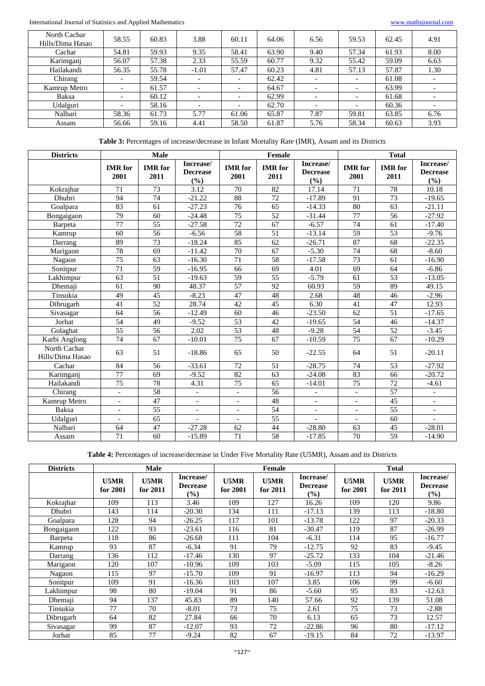International Journal of Statistics and Applied Mathematics <www.mathsjournal.com>

| North Cachar<br>Hills/Dima Hasao | 58.55                    | 60.83 | 3.88                     | 60.11                    | 64.06 | 6.56                     | 59.53                    | 62.45 | 4.91 |
|----------------------------------|--------------------------|-------|--------------------------|--------------------------|-------|--------------------------|--------------------------|-------|------|
| Cachar                           | 54.81                    | 59.93 | 9.35                     | 58.41                    | 63.90 | 9.40                     | 57.34                    | 61.93 | 8.00 |
| Karimganj                        | 56.07                    | 57.38 | 2.33                     | 55.59                    | 60.77 | 9.32                     | 55.42                    | 59.09 | 6.63 |
| Hailakandi                       | 56.35                    | 55.78 | $-1.01$                  | 57.47                    | 60.23 | 4.81                     | 57.13                    | 57.87 | 1.30 |
| Chirang                          | $\overline{\phantom{a}}$ | 59.54 | -                        |                          | 62.42 | $\overline{\phantom{0}}$ | $\overline{\phantom{a}}$ | 61.08 |      |
| Kamrup Metro                     | $\overline{\phantom{a}}$ | 61.57 | $\overline{\phantom{0}}$ | $\overline{\phantom{a}}$ | 64.67 | $\overline{\phantom{a}}$ | $\overline{\phantom{a}}$ | 63.99 |      |
| Baksa                            | $\overline{\phantom{0}}$ | 60.12 | $\overline{\phantom{0}}$ |                          | 62.99 | $\overline{\phantom{0}}$ | $\overline{\phantom{a}}$ | 61.68 |      |
| Udalguri                         | $\overline{\phantom{a}}$ | 58.16 |                          |                          | 62.70 | $\overline{\phantom{0}}$ | $\overline{\phantom{a}}$ | 60.36 |      |
| Nalbari                          | 58.36                    | 61.73 | 5.77                     | 61.06                    | 65.87 | 7.87                     | 59.81                    | 63.85 | 6.76 |
| Assam                            | 56.66                    | 59.16 | 4.41                     | 58.50                    | 61.87 | 5.76                     | 58.34                    | 60.63 | 3.93 |

**Table 3:** Percentages of increase/decrease in Infant Mortality Rate (IMR), Assam and its Districts

| <b>Districts</b>                 | <b>Male</b>              |                        |                                     |                          | Female                 |                                     | <b>Total</b>             |                        |                                     |
|----------------------------------|--------------------------|------------------------|-------------------------------------|--------------------------|------------------------|-------------------------------------|--------------------------|------------------------|-------------------------------------|
|                                  | <b>IMR</b> for<br>2001   | <b>IMR</b> for<br>2011 | Increase/<br><b>Decrease</b><br>(%) | <b>IMR</b> for<br>2001   | <b>IMR</b> for<br>2011 | Increase/<br><b>Decrease</b><br>(%) | <b>IMR</b> for<br>2001   | <b>IMR</b> for<br>2011 | Increase/<br><b>Decrease</b><br>(%) |
| Kokrajhar                        | 71                       | 73                     | 3.12                                | 70                       | 82                     | 17.14                               | 71                       | 78                     | 10.18                               |
| Dhubri                           | 94                       | 74                     | $-21.22$                            | 88                       | 72                     | $-17.89$                            | 91                       | 73                     | $-19.65$                            |
| Goalpara                         | 83                       | 61                     | $-27.23$                            | 76                       | 65                     | $-14.33$                            | 80                       | 63                     | $-21.11$                            |
| Bongaigaon                       | 79                       | 60                     | $-24.48$                            | 75                       | $\overline{52}$        | $-31.44$                            | 77                       | 56                     | $-27.92$                            |
| Barpeta                          | $\overline{77}$          | 55                     | $-27.58$                            | 72                       | 67                     | $-6.57$                             | 74                       | 61                     | $-17.40$                            |
| Kamrup                           | 60                       | 56                     | $-6.56$                             | 58                       | 51                     | $-13.14$                            | 59                       | 53                     | $-9.76$                             |
| Darrang                          | 89                       | 73                     | $-18.24$                            | 85                       | 62                     | $-26.71$                            | 87                       | 68                     | $-22.35$                            |
| Marigaon                         | 78                       | 69                     | $-11.42$                            | 70                       | 67                     | $-5.30$                             | 74                       | 68                     | $-8.60$                             |
| Nagaon                           | 75                       | 63                     | $-16.30$                            | 71                       | 58                     | $-17.58$                            | 73                       | 61                     | $-16.90$                            |
| Sonitpur                         | 71                       | $\overline{59}$        | $-16.95$                            | 66                       | 69                     | 4.01                                | 69                       | 64                     | $-6.86$                             |
| Lakhimpur                        | 63                       | 51                     | $-19.63$                            | $\overline{59}$          | 55                     | $-5.79$                             | 61                       | $\overline{53}$        | $-13.05$                            |
| Dhemaji                          | 61                       | 90                     | 48.37                               | 57                       | 92                     | 60.93                               | 59                       | 89                     | 49.15                               |
| Tinsukia                         | 49                       | 45                     | $-8.23$                             | 47                       | 48                     | 2.68                                | 48                       | 46                     | $-2.96$                             |
| Dibrugarh                        | 41                       | 52                     | 28.74                               | 42                       | 45                     | 6.30                                | 41                       | 47                     | 12.93                               |
| Sivasagar                        | 64                       | $\overline{56}$        | $-12.49$                            | 60                       | 46                     | $-23.50$                            | 62                       | $\overline{51}$        | $-17.65$                            |
| Jorhat                           | 54                       | 49                     | $-9.52$                             | $\overline{53}$          | 42                     | $-19.65$                            | 54                       | 46                     | $-14.37$                            |
| Golaghat                         | 55                       | 56                     | 2.02                                | 53                       | 48                     | $-9.28$                             | 54                       | 52                     | $-3.45$                             |
| Karbi Anglong                    | 74                       | 67                     | $-10.01$                            | 75                       | 67                     | $-10.59$                            | 75                       | 67                     | $-10.29$                            |
| North Cachar<br>Hills/Dima Hasao | 63                       | 51                     | $-18.86$                            | 65                       | 50                     | $-22.55$                            | 64                       | 51                     | $-20.11$                            |
| Cachar                           | 84                       | 56                     | $-33.61$                            | 72                       | 51                     | $-28.75$                            | 74                       | $\overline{53}$        | $-27.92$                            |
| Karimganj                        | 77                       | 69                     | $-9.52$                             | 82                       | 63                     | $-24.08$                            | 83                       | 66                     | $-20.72$                            |
| Hailakandi                       | 75                       | 78                     | 4.31                                | $\overline{75}$          | 65                     | $-14.01$                            | 75                       | $\overline{72}$        | $-4.61$                             |
| Chirang                          | $\blacksquare$           | 58                     | $\overline{\phantom{a}}$            | $\overline{\phantom{a}}$ | 56                     | $\overline{\phantom{a}}$            | $\overline{\phantom{a}}$ | 57                     | $\overline{\phantom{a}}$            |
| Kamrup Metro                     | $\blacksquare$           | 47                     | $\blacksquare$                      | $\blacksquare$           | 48                     | $\overline{\phantom{a}}$            | $\blacksquare$           | $\overline{45}$        | $\blacksquare$                      |
| Baksa                            | $\blacksquare$           | 55                     | $\sim$                              | $\overline{\phantom{a}}$ | 54                     | $\blacksquare$                      | $\overline{\phantom{a}}$ | $\overline{55}$        | $\blacksquare$                      |
| Udalguri                         | $\overline{\phantom{a}}$ | 65                     |                                     | $\overline{\phantom{a}}$ | 55                     | $\overline{\phantom{a}}$            | $\overline{\phantom{a}}$ | 60                     |                                     |
| Nalbari                          | 64                       | 47                     | $-27.28$                            | 62                       | 44                     | $-28.80$                            | 63                       | 45                     | $-28.01$                            |
| Assam                            | $\overline{71}$          | 60                     | $-15.89$                            | $\overline{71}$          | $\overline{58}$        | $-17.85$                            | 70                       | 59                     | $-14.90$                            |

**Table 4:** Percentages of increase/decrease in Under Five Mortality Rate (U5MR), Assam and its Districts

| <b>Districts</b> |                  | <b>Male</b>      |                                        |                  | Female           |                                     | <b>Total</b>     |                  |                                     |
|------------------|------------------|------------------|----------------------------------------|------------------|------------------|-------------------------------------|------------------|------------------|-------------------------------------|
|                  | U5MR<br>for 2001 | U5MR<br>for 2011 | Increase/<br><b>Decrease</b><br>$($ %) | U5MR<br>for 2001 | U5MR<br>for 2011 | Increase/<br><b>Decrease</b><br>(%) | U5MR<br>for 2001 | U5MR<br>for 2011 | Increase/<br><b>Decrease</b><br>(%) |
| Kokrajhar        | 109              | 113              | 3.46                                   | 109              | 127              | 16.26                               | 109              | 120              | 9.86                                |
| Dhubri           | 143              | 114              | $-20.30$                               | 134              | 111              | $-17.13$                            | 139              | 113              | $-18.80$                            |
| Goalpara         | 128              | 94               | $-26.25$                               | 117              | 101              | $-13.78$                            | 122              | 97               | $-20.33$                            |
| Bongaigaon       | 122              | 93               | $-23.61$                               | 116              | 81               | $-30.47$                            | 119              | 87               | $-26.99$                            |
| Barpeta          | 118              | 86               | $-26.68$                               | 111              | 104              | $-6.31$                             | 114              | 95               | $-16.77$                            |
| Kamrup           | 93               | 87               | $-6.34$                                | 91               | 79               | $-12.75$                            | 92               | 83               | $-9.45$                             |
| Darrang          | 136              | 112              | $-17.46$                               | 130              | 97               | $-25.72$                            | 133              | 104              | $-21.46$                            |
| Marigaon         | 120              | 107              | $-10.96$                               | 109              | 103              | $-5.09$                             | 115              | 105              | $-8.26$                             |
| Nagaon           | 115              | 97               | $-15.70$                               | 109              | 91               | $-16.97$                            | 113              | 94               | $-16.29$                            |
| Sonitpur         | 109              | 91               | $-16.36$                               | 103              | 107              | 3.85                                | 106              | 99               | $-6.60$                             |
| Lakhimpur        | 98               | 80               | $-19.04$                               | 91               | 86               | $-5.60$                             | 95               | 83               | $-12.63$                            |
| Dhemaji          | 94               | 137              | 45.83                                  | 89               | 140              | 57.66                               | 92               | 139              | 51.08                               |
| Tinsukia         | 77               | 70               | $-8.01$                                | 73               | 75               | 2.61                                | 75               | 73               | $-2.88$                             |
| Dibrugarh        | 64               | 82               | 27.84                                  | 66               | 70               | 6.13                                | 65               | 73               | 12.57                               |
| Sivasagar        | 99               | 87               | $-12.07$                               | 93               | 72               | $-22.86$                            | 96               | 80               | $-17.12$                            |
| Jorhat           | 85               | 77               | $-9.24$                                | 82               | 67               | $-19.15$                            | 84               | 72               | $-13.97$                            |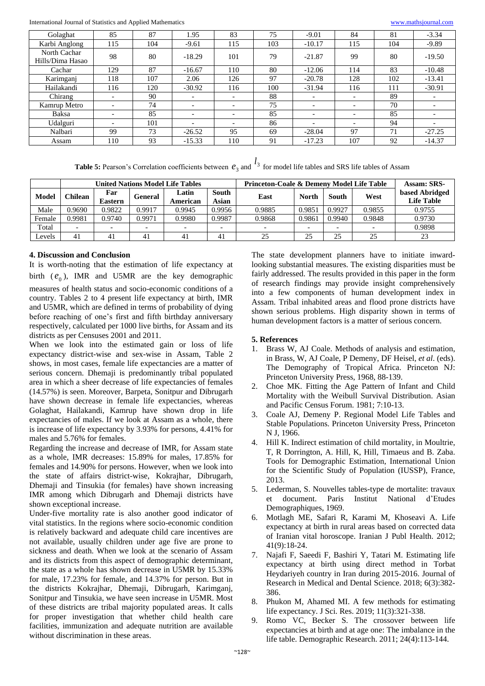International Journal of Statistics and Applied Mathematics <www.mathsjournal.com>

| Golaghat                         | 85                       | 87  | 1.95                     | 83  | 75  | $-9.01$                  | 84                       | 81  | $-3.34$                  |
|----------------------------------|--------------------------|-----|--------------------------|-----|-----|--------------------------|--------------------------|-----|--------------------------|
| Karbi Anglong                    | 115                      | 104 | $-9.61$                  | 115 | 103 | $-10.17$                 | 115                      | 104 | $-9.89$                  |
| North Cachar<br>Hills/Dima Hasao | 98                       | 80  | $-18.29$                 | 101 | 79  | $-21.87$                 | 99                       | 80  | $-19.50$                 |
| Cachar                           | 129                      | 87  | $-16.67$                 | 110 | 80  | $-12.06$                 | 114                      | 83  | $-10.48$                 |
| Karimganj                        | 118                      | 107 | 2.06                     | 126 | 97  | $-20.78$                 | 128                      | 102 | $-13.41$                 |
| Hailakandi                       | 116                      | 120 | $-30.92$                 | 116 | 100 | $-31.94$                 | 116                      | 111 | $-30.91$                 |
| Chirang                          | $\overline{\phantom{0}}$ | 90  | $\overline{\phantom{0}}$ |     | 88  |                          | $\overline{\phantom{0}}$ | 89  |                          |
| Kamrup Metro                     | $\overline{\phantom{0}}$ | 74  | $\overline{\phantom{0}}$ |     | 75  | $\overline{\phantom{0}}$ | $\overline{\phantom{0}}$ | 70  |                          |
| Baksa                            | $\overline{\phantom{0}}$ | 85  |                          |     | 85  |                          | $\overline{\phantom{0}}$ | 85  | $\overline{\phantom{0}}$ |
| Udalguri                         | $\overline{\phantom{0}}$ | 101 | $\overline{\phantom{0}}$ |     | 86  |                          | $\overline{\phantom{0}}$ | 94  | $\overline{\phantom{0}}$ |
| Nalbari                          | 99                       | 73  | $-26.52$                 | 95  | 69  | $-28.04$                 | 97                       | 71  | $-27.25$                 |
| Assam                            | 110                      | 93  | $-15.33$                 | 110 | 91  | $-17.23$                 | 107                      | 92  | $-14.37$                 |

**Table 5:** Pearson's Correlation coefficients between  $e_3$  and  $l_3$  for model life tables and SRS life tables of Assam

|        |                |                       |                          | <b>United Nations Model Life Tables</b> |                       | Princeton-Coale & Demeny Model Life Table | Assam: SRS-  |        |        |                                     |
|--------|----------------|-----------------------|--------------------------|-----------------------------------------|-----------------------|-------------------------------------------|--------------|--------|--------|-------------------------------------|
| Model  | <b>Chilean</b> | Far<br><b>Eastern</b> | <b>General</b>           | Latin<br>American                       | <b>South</b><br>Asian | East                                      | <b>North</b> | South  | West   | based Abridged<br><b>Life Table</b> |
| Male   | 0.9690         | 0.9822                | 0.9917                   | 0.9945                                  | 0.9956                | 0.9885                                    | 0.9851       | 0.9927 | 0.9855 | 0.9755                              |
| Female | 0.9981         | 0.9740                | 0.9971                   | 0.9980                                  | 0.9987                | 0.9868                                    | 0.9861       | 0.9940 | 0.9848 | 0.9730                              |
| Total  |                |                       | $\overline{\phantom{a}}$ |                                         |                       |                                           |              |        |        | 0.9898                              |
| ∟evels | 41             | 41                    | 41                       | 41                                      | 41                    | 25                                        | 25           | 25     | 25     | 23                                  |

# **4. Discussion and Conclusion**

It is worth-noting that the estimation of life expectancy at birth  $(e_0)$ , IMR and U5MR are the key demographic measures of health status and socio-economic conditions of a country. Tables 2 to 4 present life expectancy at birth, IMR and U5MR, which are defined in terms of probability of dying before reaching of one's first and fifth birthday anniversary respectively, calculated per 1000 live births, for Assam and its districts as per Censuses 2001 and 2011.

When we look into the estimated gain or loss of life expectancy district-wise and sex-wise in Assam, Table 2 shows, in most cases, female life expectancies are a matter of serious concern. Dhemaji is predominantly tribal populated area in which a sheer decrease of life expectancies of females (14.57%) is seen. Moreover, Barpeta, Sonitpur and Dibrugarh have shown decrease in female life expectancies, whereas Golaghat, Hailakandi, Kamrup have shown drop in life expectancies of males. If we look at Assam as a whole, there is increase of life expectancy by 3.93% for persons, 4.41% for males and 5.76% for females.

Regarding the increase and decrease of IMR, for Assam state as a whole, IMR decreases: 15.89% for males, 17.85% for females and 14.90% for persons. However, when we look into the state of affairs district-wise, Kokrajhar, Dibrugarh, Dhemaji and Tinsukia (for females) have shown increasing IMR among which Dibrugarh and Dhemaji districts have shown exceptional increase.

Under-five mortality rate is also another good indicator of vital statistics. In the regions where socio-economic condition is relatively backward and adequate child care incentives are not available, usually children under age five are prone to sickness and death. When we look at the scenario of Assam and its districts from this aspect of demographic determinant, the state as a whole has shown decrease in U5MR by 15.33% for male, 17.23% for female, and 14.37% for person. But in the districts Kokrajhar, Dhemaji, Dibrugarh, Karimganj, Sonitpur and Tinsukia, we have seen increase in U5MR. Most of these districts are tribal majority populated areas. It calls for proper investigation that whether child health care facilities, immunization and adequate nutrition are available without discrimination in these areas.

The state development planners have to initiate inwardlooking substantial measures. The existing disparities must be fairly addressed. The results provided in this paper in the form of research findings may provide insight comprehensively into a few components of human development index in Assam. Tribal inhabited areas and flood prone districts have shown serious problems. High disparity shown in terms of human development factors is a matter of serious concern.

# **5. References**

- 1. Brass W, AJ Coale. Methods of analysis and estimation, in Brass, W, AJ Coale, P Demeny, DF Heisel, *et al*. (eds). The Demography of Tropical Africa. Princeton NJ: Princeton University Press, 1968, 88-139.
- 2. Choe MK. Fitting the Age Pattern of Infant and Child Mortality with the Weibull Survival Distribution. Asian and Pacific Census Forum. 1981; 7:10-13.
- 3. Coale AJ, Demeny P. Regional Model Life Tables and Stable Populations. Princeton University Press, Princeton N J, 1966.
- 4. Hill K. Indirect estimation of child mortality, in Moultrie, T, R Dorrington, A. Hill, K, Hill, Timaeus and B. Zaba. Tools for Demographic Estimation, International Union for the Scientific Study of Population (IUSSP), France, 2013.
- 5. Lederman, S. Nouvelles tables-type de mortalite: travaux et document. Paris Institut National d'Etudes Demographiques, 1969.
- 6. Motlagh ME, Safari R, Karami M, Khoseavi A. Life expectancy at birth in rural areas based on corrected data of Iranian vital horoscope. Iranian J Publ Health. 2012; 41(9):18-24.
- 7. Najafi F, Saeedi F, Bashiri Y, Tatari M. Estimating life expectancy at birth using direct method in Torbat Heydariyeh country in Iran during 2015-2016. Journal of Research in Medical and Dental Science. 2018; 6(3):382- 386.
- 8. Phukon M, Ahamed MI. A few methods for estimating life expectancy. J Sci. Res. 2019; 11(3):321-338.
- 9. Romo VC, Becker S. The crossover between life expectancies at birth and at age one: The imbalance in the life table. Demographic Research. 2011; 24(4):113-144.